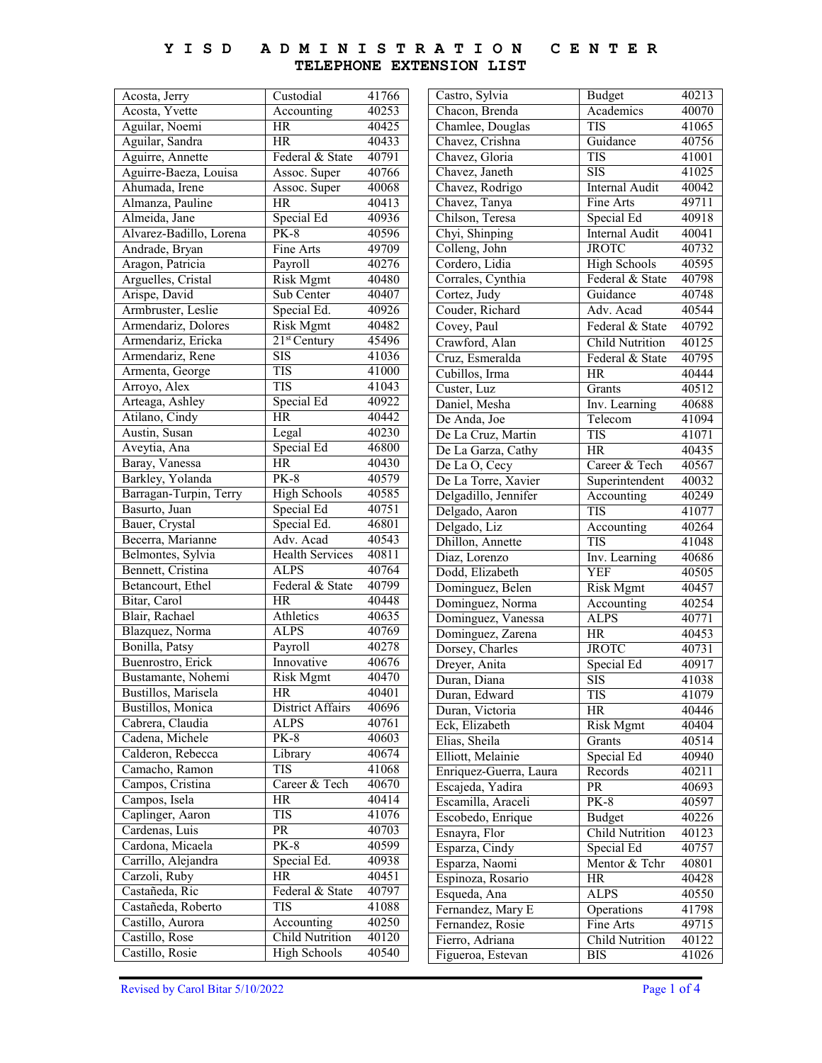## **Y I S D A D M I N I S T R A T I O N C E N T E R TELEPHONE EXTENSION LIST**

| Acosta, Jerry           | Custodial              | 41766 |
|-------------------------|------------------------|-------|
| Acosta, Yvette          | Accounting             | 40253 |
| Aguilar, Noemi          | HR                     | 40425 |
| Aguilar, Sandra         | <b>HR</b>              | 40433 |
| Aguirre, Annette        | Federal & State        | 40791 |
| Aguirre-Baeza, Louisa   | Assoc. Super           | 40766 |
| Ahumada, Irene          | Assoc. Super           | 40068 |
| Almanza, Pauline        | <b>HR</b>              | 40413 |
| Almeida, Jane           | Special Ed             | 40936 |
| Alvarez-Badillo, Lorena | $PK-8$                 | 40596 |
| Andrade, Bryan          | Fine Arts              | 49709 |
| Aragon, Patricia        | Payroll                | 40276 |
| Arguelles, Cristal      | <b>Risk Mgmt</b>       | 40480 |
| Arispe, David           | Sub Center             | 40407 |
| Armbruster, Leslie      | Special Ed.            | 40926 |
| Armendariz, Dolores     | <b>Risk Mgmt</b>       | 40482 |
| Armendariz, Ericka      | $21st$ Century         | 45496 |
| Armendariz, Rene        | <b>SIS</b>             | 41036 |
| Armenta, George         | TIS                    | 41000 |
| Arroyo, Alex            | <b>TIS</b>             | 41043 |
| Arteaga, Ashley         | Special Ed             | 40922 |
| Atilano, Cindy          | <b>HR</b>              | 40442 |
| Austin, Susan           | Legal                  | 40230 |
| Aveytia, Ana            | Special Ed             | 46800 |
| Baray, Vanessa          | <b>HR</b>              | 40430 |
| Barkley, Yolanda        | <b>PK-8</b>            | 40579 |
| Barragan-Turpin, Terry  | <b>High Schools</b>    | 40585 |
| Basurto, Juan           | Special Ed             | 40751 |
| Bauer, Crystal          | Special Ed.            | 46801 |
| Becerra, Marianne       | Adv. Acad              | 40543 |
|                         | <b>Health Services</b> | 40811 |
|                         |                        |       |
| Belmontes, Sylvia       |                        |       |
| Bennett, Cristina       | <b>ALPS</b>            | 40764 |
| Betancourt, Ethel       | Federal & State        | 40799 |
| Bitar, Carol            | HR                     | 40448 |
| Blair, Rachael          | Athletics              | 40635 |
| Blazquez, Norma         | <b>ALPS</b>            | 40769 |
| Bonilla, Patsy          | Payroll                | 40278 |
| Buenrostro, Erick       | Innovative             | 40676 |
| Bustamante, Nohemi      | <b>Risk Mgmt</b>       | 40470 |
| Bustillos, Marisela     | HК                     | 40401 |
| Bustillos, Monica       | District Affairs       | 40696 |
| Cabrera, Claudia        | <b>ALPS</b>            | 40761 |
| Cadena, Michele         | <b>PK-8</b>            | 40603 |
| Calderon, Rebecca       | Library                | 40674 |
| Camacho, Ramon          | <b>TIS</b>             | 41068 |
| Campos, Cristina        | Career & Tech          | 40670 |
| Campos, Isela           | HR                     | 40414 |
| Caplinger, Aaron        | TIS                    | 41076 |
| Cardenas, Luis          | PR                     | 40703 |
| Cardona, Micaela        | <b>PK-8</b>            | 40599 |
| Carrillo, Alejandra     | Special Ed.            | 40938 |
| Carzoli, Ruby           | <b>HR</b>              | 40451 |
| Castañeda, Ric          | Federal & State        | 40797 |
| Castañeda, Roberto      | <b>TIS</b>             | 41088 |
| Castillo, Aurora        | Accounting             | 40250 |
| Castillo, Rose          | <b>Child Nutrition</b> | 40120 |
| Castillo, Rosie         | <b>High Schools</b>    | 40540 |

| Castro, Sylvia                   | <b>Budget</b>               | 40213 |
|----------------------------------|-----------------------------|-------|
| Chacon, Brenda                   | Academics                   | 40070 |
| Chamlee, Douglas                 | TIS                         | 41065 |
| Chavez, Crishna                  | Guidance                    | 40756 |
| Chavez, Gloria                   | <b>TIS</b>                  | 41001 |
| Chavez, Janeth                   | $\overline{\mathrm{SIS}}$   | 41025 |
| Chavez, Rodrigo                  | <b>Internal Audit</b>       | 40042 |
| Chavez, Tanya                    | Fine Arts                   | 49711 |
| Chilson, Teresa                  | Special Ed                  | 40918 |
| Chyi, Shinping                   | <b>Internal Audit</b>       | 40041 |
| Colleng, John                    | <b>JROTC</b>                | 40732 |
| Cordero, Lidia                   | High Schools                | 40595 |
| Corrales, Cynthia                | Federal & State             | 40798 |
| Cortez, Judy                     | Guidance                    | 40748 |
| Couder, Richard                  | Adv. Acad                   | 40544 |
| Covey, Paul                      | Federal & State             | 40792 |
| Crawford, Alan                   | <b>Child Nutrition</b>      | 40125 |
| Cruz, Esmeralda                  | Federal & State             | 40795 |
| Cubillos, Irma                   | <b>HR</b>                   | 40444 |
| Custer, Luz                      |                             | 40512 |
| Daniel, Mesha                    | Grants<br>Inv. Learning     | 40688 |
| De Anda, Joe                     | Telecom                     | 41094 |
|                                  | TIS                         |       |
| De La Cruz, Martin               |                             | 41071 |
| De La Garza, Cathy               | <b>HR</b>                   | 40435 |
| De La O, Cecy                    | Career & Tech               | 40567 |
| De La Torre, Xavier              | Superintendent              | 40032 |
| Delgadillo, Jennifer             | Accounting                  | 40249 |
| Delgado, Aaron                   | <b>TIS</b>                  | 41077 |
| Delgado, Liz                     | Accounting<br>TIS           | 40264 |
| Dhillon, Annette                 |                             | 41048 |
| Diaz, Lorenzo<br>Dodd, Elizabeth | Inv. Learning<br><b>YEF</b> | 40686 |
|                                  |                             | 40505 |
| Dominguez, Belen                 | <b>Risk Mgmt</b>            | 40457 |
| Dominguez, Norma                 | Accounting                  | 40254 |
| Dominguez, Vanessa               | ALPS                        | 40771 |
| Dominguez, Zarena                | <b>HR</b>                   | 40453 |
| Dorsey, Charles                  | <b>JROTC</b>                | 40731 |
| Dreyer, Anita                    | Special Ed                  | 40917 |
| Duran, Diana                     | <b>SIS</b>                  | 41038 |
| Duran, Edward                    | TIS                         | 41079 |
| Duran, Victoria                  | HR                          | 40446 |
| Eck, Elizabeth                   | <b>Risk Mgmt</b>            | 40404 |
| Elias, Sheila                    | Grants                      | 40514 |
| Elliott, Melainie                | Special Ed                  | 40940 |
| Enriquez-Guerra, Laura           | Records                     | 40211 |
| Escajeda, Yadira                 | $\overline{\text{PR}}$      | 40693 |
| Escamilla, Araceli               | <b>PK-8</b>                 | 40597 |
| Escobedo, Enrique                | <b>Budget</b>               | 40226 |
| Esnayra, Flor                    | <b>Child Nutrition</b>      | 40123 |
| Esparza, Cindy                   | Special Ed                  | 40757 |
| Esparza, Naomi                   | Mentor & Tchr               | 40801 |
| Espinoza, Rosario                | HR                          | 40428 |
| Esqueda, Ana                     | ALPS                        | 40550 |
| Fernandez, Mary E                | Operations                  | 41798 |
| Fernandez, Rosie                 | Fine Arts                   | 49715 |
| Fierro, Adriana                  | Child Nutrition             | 40122 |
| Figueroa, Estevan                | BIS                         | 41026 |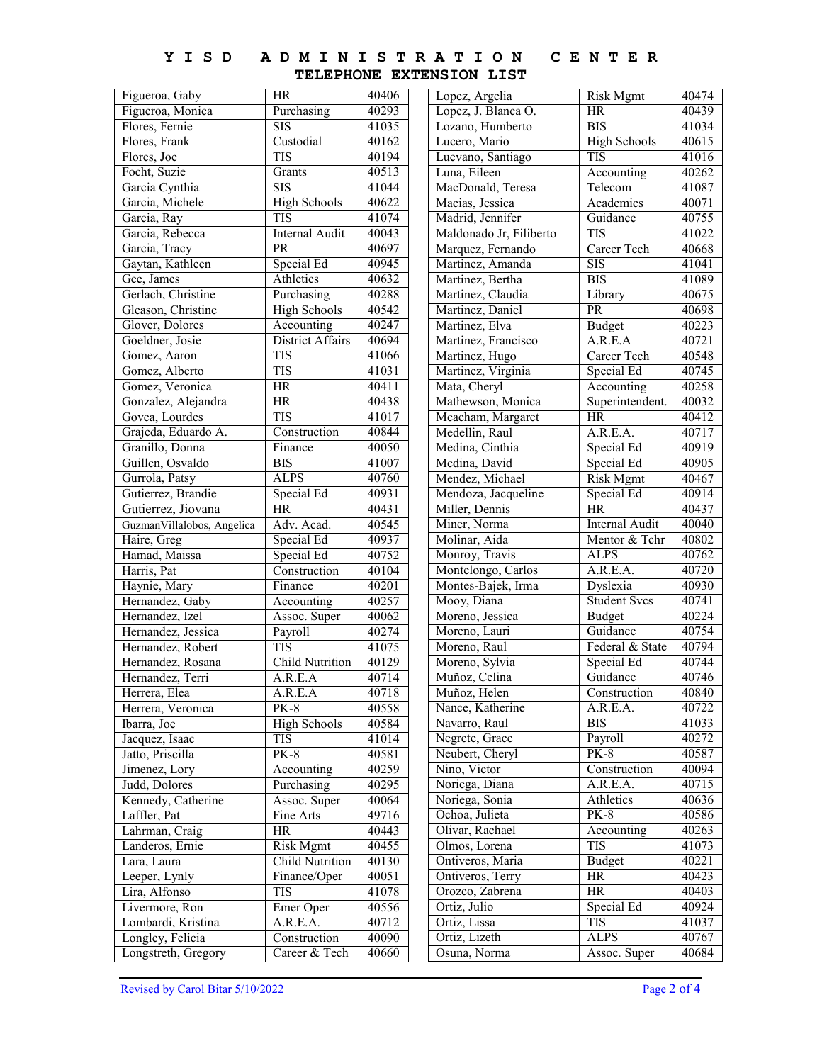#### **Y I S D A D M I N I S T R A T I O N TELEPHONE EXTENSION LIST C E N T E R**

Lopez, Argelia | Risk Mgmt 40474 Lopez, J. Blanca O. HR 40439 Lozano, Humberto BIS 41034 Lucero, Mario High Schools 40615 Luevano, Santiago TIS 41016 Luna, Eileen Accounting 40262 MacDonald, Teresa Telecom 41087 Macias, Jessica Academics 40071 Madrid, Jennifer Guidance 40755 Maldonado Jr, Filiberto TIS 41022 Marquez, Fernando | Career Tech 40668 Martinez, Amanda SIS 41041 Martinez, Bertha BIS 41089 Martinez, Claudia Library 40675 Martinez, Daniel PR 40698<br>
Martinez, Elva Budget 40223 Martinez, Elva Budget Martinez, Francisco | A.R.E.A 40721 Martinez, Hugo Career Tech 40548 Martinez, Virginia Special Ed 40745 Mata, Cheryl Accounting 40258 Mathewson, Monica Superintendent. 40032 Meacham, Margaret HR 40412 Medellin, Raul A.R.E.A. 40717 Medina, Cinthia Special Ed 40919 Medina, David Special Ed 40905 Mendez, Michael Risk Mgmt 40467<br>Mendoza, Jacqueline Special Ed 40914 Mendoza, Jacqueline Special Ed 40914<br>
Miller, Dennis HR 40437 Miller, Dennis<br>
Miner, Norma<br>
Hernal Audit Miner, Norma<br>
Internal Audit 40040 Molinar, Aida Mentor & Tchr 40802<br>Monroy, Travis ALPS 40762 Monroy, Travis Montelongo, Carlos | A.R.E.A. 40720 Montes-Bajek, Irma Dyslexia 40930 Mooy, Diana Student Svcs 40741<br>Moreno, Jessica Budget 40224 Moreno, Jessica Budget 40224<br>
Moreno, Lauri Guidance 40754 Moreno, Lauri Guidance Moreno, Raul Federal & State 40794 Moreno, Sylvia Special Ed 40744 Muñoz, Celina Guidance 40746 Muñoz, Helen Construction 40840<br>Nance, Katherine A.R.E.A. 40722 Nance, Katherine Navarro, Raul BIS 41033 Negrete, Grace Payroll 40272 Neubert, Cheryl PK-8 40587 Nino, Victor Construction 40094<br>Noriega, Diana A.R.E.A. 40715 Noriega, Diana A.R.E.A. 40715<br>Noriega, Sonia Athletics 40636 Noriega, Sonia Athletics Ochoa, Julieta PK-8 40586 Olivar, Rachael Accounting 40263 Olmos, Lorena TIS 41073 Ontiveros, Maria Budget 40221 Ontiveros, Terry HR 40423 Orozco, Zabrena HR 40403 Ortiz, Julio Special Ed 40924 Ortiz, Lissa TIS 41037<br>
Ortiz, Lizeth ALPS 40767 Ortiz, Lizeth Osuna, Norma Assoc. Super 40684 Figueroa, Gaby HR 40406<br>Figueroa, Monica Purchasing 40293 Figueroa, Monica Purchasing 40293<br>Flores, Fernie SIS 41035 Flores, Fernie SIS Flores, Frank Custodial 40162 Flores, Joe TIS 40194 Focht, Suzie Grants 40513 Garcia Cynthia SIS 41044 Garcia, Michele High Schools 40622<br>Garcia, Ray TIS 41074 Garcia, Ray TIS 41074 Garcia, Rebecca Internal Audit 40043 Garcia, Tracy PR 40697 Gaytan, Kathleen Special Ed 40945 Gee, James Athletics 40632 Gerlach, Christine Purchasing 40288 Gleason, Christine High Schools 40542 Glover, Dolores Accounting 40247 Goeldner, Josie District Affairs 40694 Gomez, Aaron TIS 41066 Gomez, Alberto TIS 41031 Gomez, Veronica HR 40411 Gonzalez, Alejandra HR 40438 Govea, Lourdes TIS 41017 Grajeda, Eduardo A. Construction 40844 Granillo, Donna Finance 40050 Guillen, Osvaldo BIS 41007 Gurrola, Patsy ALPS 40760 Gutierrez, Brandie Special Ed 40931<br>Gutierrez, Jiovana HR 40431 Gutierrez, Jiovana HR<br>GuzmanVillalobos, Angelica Adv. Acad. GuzmanVillalobos, Angelica | Adv. Acad. 40545 Haire, Greg Special Ed 40937 Hamad, Maissa Special Ed 40752 Harris, Pat Construction 40104 Haynie, Mary Finance 40201<br>Hernandez, Gaby Accounting 40257 Hernandez, Gaby Accounting Hernandez, Izel Assoc. Super 40062 Hernandez, Jessica Payroll 40274 Hernandez, Robert TIS 41075 Hernandez, Rosana Child Nutrition 40129 Hernandez, Terri A.R.E.A 40714 Herrera, Elea A.R.E.A 40718 Herrera, Veronica PK-8 40558 Ibarra, Joe High Schools 40584 Jacquez, Isaac TIS 41014<br>
Jatto, Priscilla PK-8 40581 Jatto, Priscilla PK-8 40581 Jimenez, Lory Recounting 40259 Judd, Dolores Purchasing 40295 Kennedy, Catherine Assoc. Super 40064 Laffler, Pat Fine Arts 49716 Lahrman, Craig HR 40443 Landeros, Ernie Risk Mgmt 40455 Lara, Laura Child Nutrition 40130 Leeper, Lynly Finance/Oper 40051 Lira, Alfonso TIS 41078 Livermore, Ron Emer Oper 40556 Lombardi, Kristina | A.R.E.A. 40712 Longley, Felicia Construction 40090 Longstreth, Gregory | Career & Tech 40660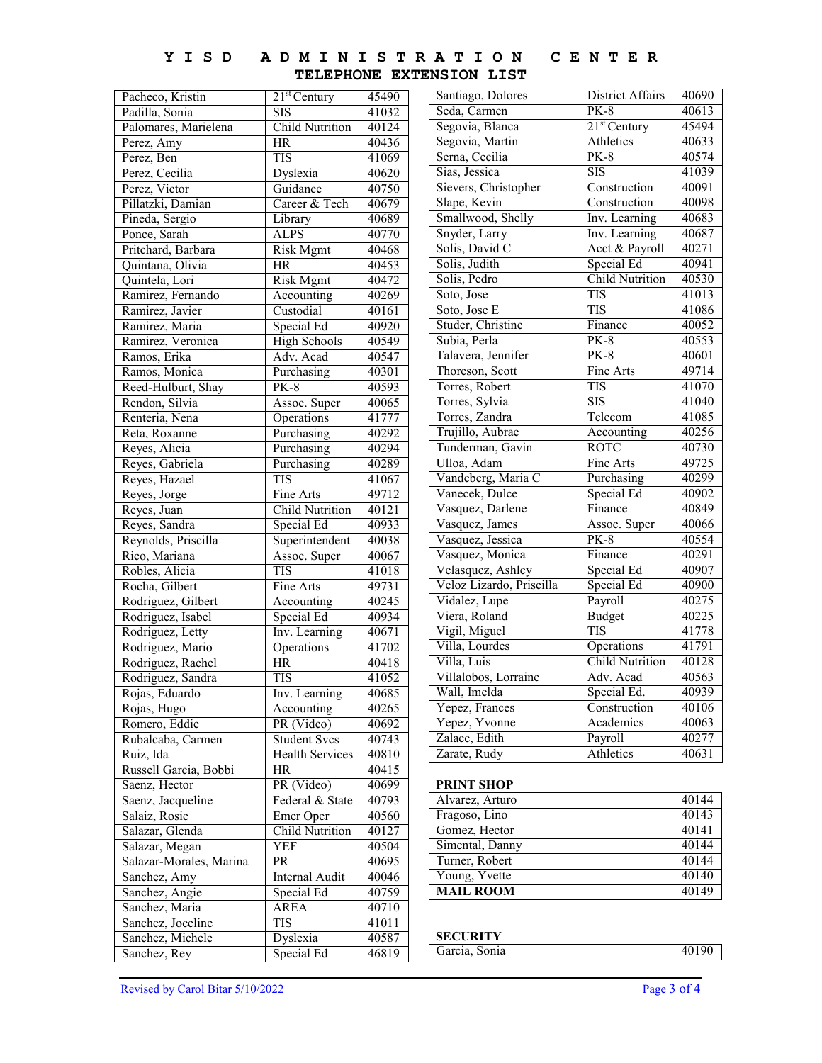#### **Y I S D A D M I N I S T R A T I O N TELEPHONE EXTENSION LIST C E N T E R**

| Pacheco, Kristin        | $21st$ Century         | 45490 | Santiago, Dolores        | District Affairs       | 40690 |
|-------------------------|------------------------|-------|--------------------------|------------------------|-------|
| Padilla, Sonia          | <b>SIS</b>             | 41032 | Seda, Carmen             | $PK-8$                 | 40613 |
| Palomares, Marielena    | <b>Child Nutrition</b> | 40124 | Segovia, Blanca          | $21st$ Century         | 45494 |
| Perez, Amy              | HR                     | 40436 | Segovia, Martin          | Athletics              | 40633 |
| Perez, Ben              | <b>TIS</b>             | 41069 | Serna, Cecilia           | $PK-8$                 | 40574 |
| Perez, Cecilia          | Dyslexia               | 40620 | Sias, Jessica            | <b>SIS</b>             | 41039 |
| Perez, Victor           | Guidance               | 40750 | Sievers, Christopher     | Construction           | 40091 |
| Pillatzki, Damian       | Career & Tech          | 40679 | Slape, Kevin             | Construction           | 40098 |
| Pineda, Sergio          | Library                | 40689 | Smallwood, Shelly        | Inv. Learning          | 40683 |
| Ponce, Sarah            | <b>ALPS</b>            | 40770 | Snyder, Larry            | Inv. Learning          | 40687 |
| Pritchard, Barbara      | <b>Risk Mgmt</b>       | 40468 | Solis, David C           | Acct & Payroll         | 40271 |
| Quintana, Olivia        | HR                     | 40453 | Solis, Judith            | Special Ed             | 40941 |
| Quintela, Lori          | <b>Risk Mgmt</b>       | 40472 | Solis, Pedro             | <b>Child Nutrition</b> | 40530 |
| Ramirez, Fernando       | Accounting             | 40269 | Soto, Jose               | <b>TIS</b>             | 41013 |
| Ramirez, Javier         | Custodial              | 40161 | Soto, Jose E             | <b>TIS</b>             | 41086 |
| Ramirez, Maria          | Special Ed             | 40920 | Studer, Christine        | Finance                | 40052 |
| Ramirez, Veronica       | <b>High Schools</b>    | 40549 | Subia, Perla             | $PK-8$                 | 40553 |
| Ramos, Erika            | Adv. Acad              | 40547 | Talavera, Jennifer       | $PK-8$                 | 40601 |
| Ramos, Monica           | Purchasing             | 40301 | Thoreson, Scott          | Fine Arts              | 49714 |
| Reed-Hulburt, Shay      | $PK-8$                 | 40593 | Torres, Robert           | <b>TIS</b>             | 41070 |
| Rendon, Silvia          | Assoc. Super           | 40065 | Torres, Sylvia           | <b>SIS</b>             | 41040 |
| Renteria, Nena          | Operations             | 41777 | Torres, Zandra           | Telecom                | 41085 |
| Reta, Roxanne           | Purchasing             | 40292 | Trujillo, Aubrae         | Accounting             | 40256 |
| Reyes, Alicia           | Purchasing             | 40294 | Tunderman, Gavin         | <b>ROTC</b>            | 40730 |
| Reyes, Gabriela         | Purchasing             | 40289 | Ulloa, Adam              | Fine Arts              | 49725 |
| Reyes, Hazael           | <b>TIS</b>             | 41067 | Vandeberg, Maria C       | Purchasing             | 40299 |
| Reyes, Jorge            | Fine Arts              | 49712 | Vanecek, Dulce           | Special Ed             | 40902 |
| Reyes, Juan             | <b>Child Nutrition</b> | 40121 | Vasquez, Darlene         | Finance                | 40849 |
| Reyes, Sandra           | Special Ed             | 40933 | Vasquez, James           | Assoc. Super           | 40066 |
| Reynolds, Priscilla     | Superintendent         | 40038 | Vasquez, Jessica         | <b>PK-8</b>            | 40554 |
| Rico, Mariana           | Assoc. Super           | 40067 | Vasquez, Monica          | Finance                | 40291 |
| Robles, Alicia          | <b>TIS</b>             | 41018 | Velasquez, Ashley        | Special Ed             | 40907 |
| Rocha, Gilbert          | Fine Arts              | 49731 | Veloz Lizardo, Priscilla | Special Ed             | 40900 |
| Rodriguez, Gilbert      | Accounting             | 40245 | Vidalez, Lupe            | Payroll                | 40275 |
| Rodriguez, Isabel       | Special Ed             | 40934 | Viera, Roland            | <b>Budget</b>          | 40225 |
| Rodriguez, Letty        | Inv. Learning          | 40671 | Vigil, Miguel            | <b>TIS</b>             | 41778 |
| Rodriguez, Mario        | Operations             | 41702 | Villa, Lourdes           | Operations             | 41791 |
| Rodriguez, Rachel       | HR                     | 40418 | Villa, Luis              | <b>Child Nutrition</b> | 40128 |
| Rodriguez, Sandra       | <b>TIS</b>             | 41052 | Villalobos, Lorraine     | Adv. Acad              | 40563 |
| Rojas, Eduardo          | Inv. Learning          | 40685 | Wall, Imelda             | Special Ed.            | 40939 |
| Rojas, Hugo             | Accounting             | 40265 | Yepez, Frances           | Construction           | 40106 |
| Romero, Eddie           | PR (Video)             | 40692 | Yepez, Yvonne            | Academics              | 40063 |
| Rubalcaba, Carmen       | <b>Student Svcs</b>    | 40743 | Zalace, Edith            | Payroll                | 40277 |
| Ruiz, Ida               | Health Services        | 40810 | Zarate, Rudy             | Athletics              | 40631 |
| Russell Garcia, Bobbi   | HR                     | 40415 |                          |                        |       |
| Saenz, Hector           | PR (Video)             | 40699 | <b>PRINT SHOP</b>        |                        |       |
| Saenz, Jacqueline       | Federal & State        | 40793 | Alvarez, Arturo          |                        | 40144 |
| Salaiz, Rosie           | Emer Oper              | 40560 | Fragoso, Lino            |                        | 40143 |
| Salazar, Glenda         | <b>Child Nutrition</b> | 40127 | Gomez, Hector            |                        | 40141 |
| Salazar, Megan          | YEF                    | 40504 | Simental, Danny          |                        | 40144 |
| Salazar-Morales, Marina | PR                     | 40695 | Turner, Robert           |                        | 40144 |
| Sanchez, Amy            | Internal Audit         | 40046 | Young, Yvette            |                        | 40140 |
| Sanchez, Angie          | Special Ed             | 40759 | <b>MAIL ROOM</b>         |                        | 40149 |
| Sanchez, Maria          | <b>AREA</b>            | 40710 |                          |                        |       |
| Sanchez, Joceline       | <b>TIS</b>             | 41011 |                          |                        |       |
| Sanchez, Michele        | Dyslexia               | 40587 | <b>SECURITY</b>          |                        |       |
| Sanchez, Rey            | Special Ed             | 46819 | Garcia, Sonia            |                        | 40190 |
|                         |                        |       |                          |                        |       |